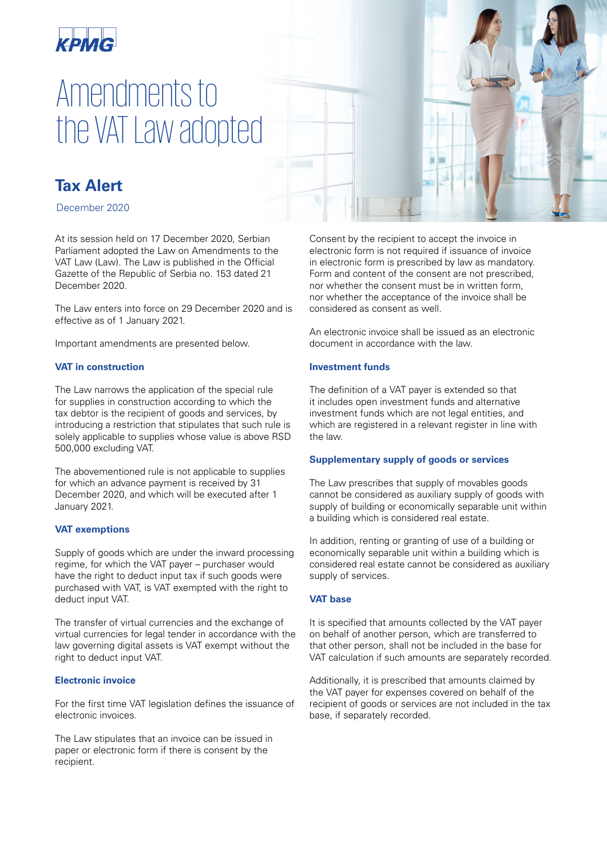

# Amendments to the VAT Law adopted



December 2020

At its session held on 17 December 2020, Serbian Parliament adopted the Law on Amendments to the VAT Law (Law). The Law is published in the Official Gazette of the Republic of Serbia no. 153 dated 21 December 2020.

The Law enters into force on 29 December 2020 and is effective as of 1 January 2021.

Important amendments are presented below.

# **VAT in construction**

The Law narrows the application of the special rule for supplies in construction according to which the tax debtor is the recipient of goods and services, by introducing a restriction that stipulates that such rule is solely applicable to supplies whose value is above RSD 500,000 excluding VAT.

The abovementioned rule is not applicable to supplies for which an advance payment is received by 31 December 2020, and which will be executed after 1 January 2021.

# **VAT exemptions**

Supply of goods which are under the inward processing regime, for which the VAT payer – purchaser would have the right to deduct input tax if such goods were purchased with VAT, is VAT exempted with the right to deduct input VAT.

The transfer of virtual currencies and the exchange of virtual currencies for legal tender in accordance with the law governing digital assets is VAT exempt without the right to deduct input VAT.

#### **Electronic invoice**

For the first time VAT legislation defines the issuance of electronic invoices.

The Law stipulates that an invoice can be issued in paper or electronic form if there is consent by the recipient.

Consent by the recipient to accept the invoice in electronic form is not required if issuance of invoice in electronic form is prescribed by law as mandatory. Form and content of the consent are not prescribed, nor whether the consent must be in written form, nor whether the acceptance of the invoice shall be considered as consent as well.

An electronic invoice shall be issued as an electronic document in accordance with the law.

#### **Investment funds**

The definition of a VAT payer is extended so that it includes open investment funds and alternative investment funds which are not legal entities, and which are registered in a relevant register in line with the law.

#### **Supplementary supply of goods or services**

The Law prescribes that supply of movables goods cannot be considered as auxiliary supply of goods with supply of building or economically separable unit within a building which is considered real estate.

In addition, renting or granting of use of a building or economically separable unit within a building which is considered real estate cannot be considered as auxiliary supply of services.

# **VAT base**

It is specified that amounts collected by the VAT payer on behalf of another person, which are transferred to that other person, shall not be included in the base for VAT calculation if such amounts are separately recorded.

Additionally, it is prescribed that amounts claimed by the VAT payer for expenses covered on behalf of the recipient of goods or services are not included in the tax base, if separately recorded.